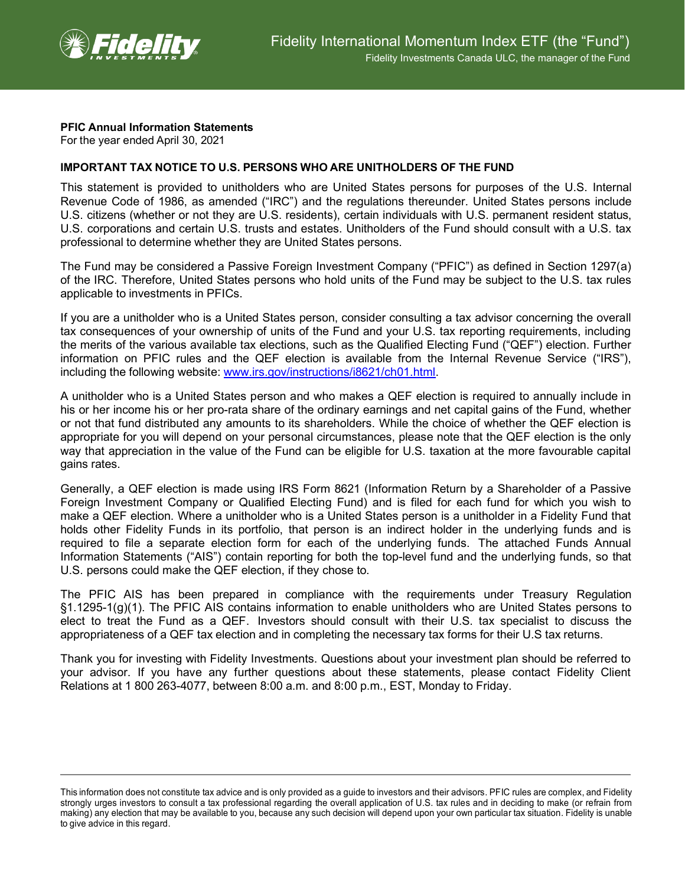

## **PFIC Annual Information Statements**

For the year ended April 30, 2021

## **IMPORTANT TAX NOTICE TO U.S. PERSONS WHO ARE UNITHOLDERS OF THE FUND**

This statement is provided to unitholders who are United States persons for purposes of the U.S. Internal Revenue Code of 1986, as amended ("IRC") and the regulations thereunder. United States persons include U.S. citizens (whether or not they are U.S. residents), certain individuals with U.S. permanent resident status, U.S. corporations and certain U.S. trusts and estates. Unitholders of the Fund should consult with a U.S. tax professional to determine whether they are United States persons.

The Fund may be considered a Passive Foreign Investment Company ("PFIC") as defined in Section 1297(a) of the IRC. Therefore, United States persons who hold units of the Fund may be subject to the U.S. tax rules applicable to investments in PFICs.

If you are a unitholder who is a United States person, consider consulting a tax advisor concerning the overall tax consequences of your ownership of units of the Fund and your U.S. tax reporting requirements, including the merits of the various available tax elections, such as the Qualified Electing Fund ("QEF") election. Further information on PFIC rules and the QEF election is available from the Internal Revenue Service ("IRS"), including the following website: [www.irs.gov/instructions/i8621/ch01.html.](http://www.irs.gov/instructions/i8621/ch01.html)

A unitholder who is a United States person and who makes a QEF election is required to annually include in his or her income his or her pro-rata share of the ordinary earnings and net capital gains of the Fund, whether or not that fund distributed any amounts to its shareholders. While the choice of whether the QEF election is appropriate for you will depend on your personal circumstances, please note that the QEF election is the only way that appreciation in the value of the Fund can be eligible for U.S. taxation at the more favourable capital gains rates.

Generally, a QEF election is made using IRS Form 8621 (Information Return by a Shareholder of a Passive Foreign Investment Company or Qualified Electing Fund) and is filed for each fund for which you wish to make a QEF election. Where a unitholder who is a United States person is a unitholder in a Fidelity Fund that holds other Fidelity Funds in its portfolio, that person is an indirect holder in the underlying funds and is required to file a separate election form for each of the underlying funds. The attached Funds Annual Information Statements ("AIS") contain reporting for both the top-level fund and the underlying funds, so that U.S. persons could make the QEF election, if they chose to.

The PFIC AIS has been prepared in compliance with the requirements under Treasury Regulation §1.1295-1(g)(1). The PFIC AIS contains information to enable unitholders who are United States persons to elect to treat the Fund as a QEF. Investors should consult with their U.S. tax specialist to discuss the appropriateness of a QEF tax election and in completing the necessary tax forms for their U.S tax returns.

Thank you for investing with Fidelity Investments. Questions about your investment plan should be referred to your advisor. If you have any further questions about these statements, please contact Fidelity Client Relations at 1 800 263-4077, between 8:00 a.m. and 8:00 p.m., EST, Monday to Friday.

This information does not constitute tax advice and is only provided as a guide to investors and their advisors. PFIC rules are complex, and Fidelity strongly urges investors to consult a tax professional regarding the overall application of U.S. tax rules and in deciding to make (or refrain from making) any election that may be available to you, because any such decision will depend upon your own particular tax situation. Fidelity is unable to give advice in this regard.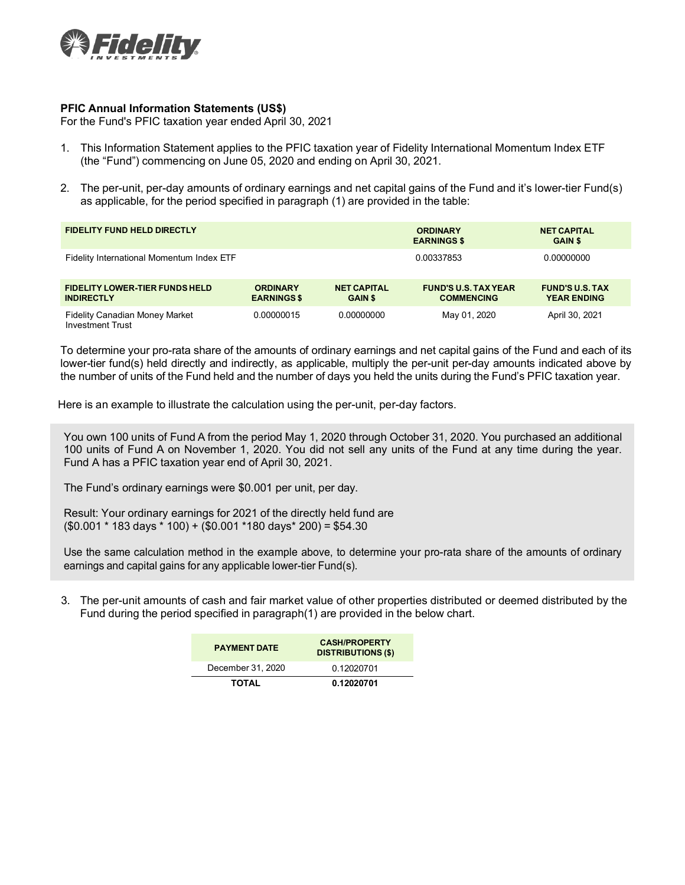

## **PFIC Annual Information Statements (US\$)**

For the Fund's PFIC taxation year ended April 30, 2021

- 1. This Information Statement applies to the PFIC taxation year of Fidelity International Momentum Index ETF (the "Fund") commencing on June 05, 2020 and ending on April 30, 2021.
- 2. The per-unit, per-day amounts of ordinary earnings and net capital gains of the Fund and it's lower-tier Fund(s) as applicable, for the period specified in paragraph (1) are provided in the table:

| <b>FIDELITY FUND HELD DIRECTLY</b>                               |                                       |                                      | <b>ORDINARY</b><br><b>EARNINGS \$</b>            | <b>NET CAPITAL</b><br><b>GAIN \$</b>         |
|------------------------------------------------------------------|---------------------------------------|--------------------------------------|--------------------------------------------------|----------------------------------------------|
| Fidelity International Momentum Index ETF                        |                                       |                                      | 0.00337853                                       | 0.00000000                                   |
| <b>FIDELITY LOWER-TIER FUNDS HELD</b><br><b>INDIRECTLY</b>       | <b>ORDINARY</b><br><b>EARNINGS \$</b> | <b>NET CAPITAL</b><br><b>GAIN \$</b> | <b>FUND'S U.S. TAX YEAR</b><br><b>COMMENCING</b> | <b>FUND'S U.S. TAX</b><br><b>YEAR ENDING</b> |
| <b>Fidelity Canadian Money Market</b><br><b>Investment Trust</b> | 0.00000015                            | 0.00000000                           | May 01, 2020                                     | April 30, 2021                               |

To determine your pro-rata share of the amounts of ordinary earnings and net capital gains of the Fund and each of its lower-tier fund(s) held directly and indirectly, as applicable, multiply the per-unit per-day amounts indicated above by the number of units of the Fund held and the number of days you held the units during the Fund's PFIC taxation year.

Here is an example to illustrate the calculation using the per-unit, per-day factors.

You own 100 units of Fund A from the period May 1, 2020 through October 31, 2020. You purchased an additional 100 units of Fund A on November 1, 2020. You did not sell any units of the Fund at any time during the year. Fund A has a PFIC taxation year end of April 30, 2021.

The Fund's ordinary earnings were \$0.001 per unit, per day.

Result: Your ordinary earnings for 2021 of the directly held fund are (\$0.001 \* 183 days \* 100) + (\$0.001 \*180 days\* 200) = \$54.30

Use the same calculation method in the example above, to determine your pro-rata share of the amounts of ordinary earnings and capital gains for any applicable lower-tier Fund(s).

3. The per-unit amounts of cash and fair market value of other properties distributed or deemed distributed by the Fund during the period specified in paragraph(1) are provided in the below chart.

| <b>PAYMENT DATE</b> | <b>CASH/PROPERTY</b><br><b>DISTRIBUTIONS (\$)</b> |
|---------------------|---------------------------------------------------|
| December 31, 2020   | 0.12020701                                        |
| <b>TOTAL</b>        | 0.12020701                                        |